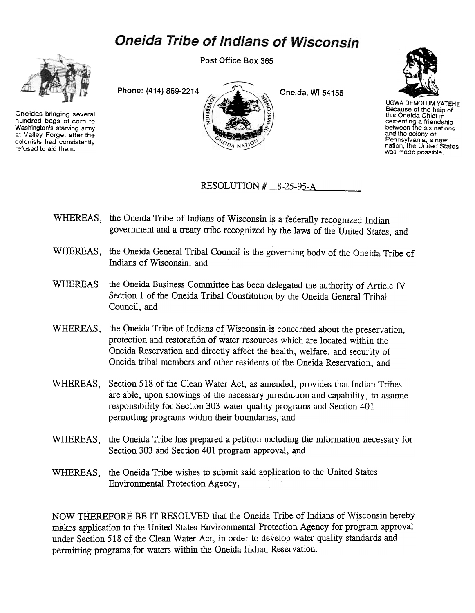## **Oneida Tribe of Indians of Wisconsin**



Oneidas bringing several hundred bags of corn to Washington's starving army at Valley Forge, after the colonists had consistently refused to aid them.

Post Office Box 365





UGWA DEMOLUM YATEHE Because of the help of<br>this Oneida Chief in cementing a friendship between the six nations and the colony of Pennsylvania, a new<br>nation, the United State was made possible.

RESOLUTION  $#$  8-25-95-A

- WHEREAS, the Oneida Tribe of Indians of Wisconsin is a federally recognized Indian government and a treaty tribe recognized by the laws of the United States, and
- WHEREAS, the Oneida General Tribal Council is the governing body of the Oneida Tribe of Indians of Wisconsin, and
- WHEREAS the Oneida Business Committee has been delegated the authority of Article IV. Section 1 of the Oneida Tribal Constitution by the Oneida General Tribal Council, and
- WHEREAS, the Oneida Tribe of Indians of Wisconsin is concerned about the preservation. protection and restoration of water resources which are located within the Oneida Reservation and directly affect the health, welfare, and security of Oneida tribal members and other residents of the Oneida Reservation, and
- WHEREAS, Section 518 of the Clean Water Act, as amended, provides that Indian Tribes are able, upon showings of the necessary jurisdiction and capability, to assume responsibility for Section 303 water quality programs and Section 401 permitting programs within their boundaries, and
- WHEREAS, the Oneida Tribe has prepared a petition including the information necessary for Section 303 and Section 401 program approval, and
- WHEREAS, the Oneida Tribe wishes to submit said application to the United States Environmental Protection Agency,

NOW THEREFORE BE IT RESOLVED that the Oneida Tribe of Indians of Wisconsin hereby makes application to the United States Environmental Protection Agency for program approval under Section 518 of the Clean Water Act, in order to develop water quality standards and permitting programs for waters within the Oneida Indian Reservation.